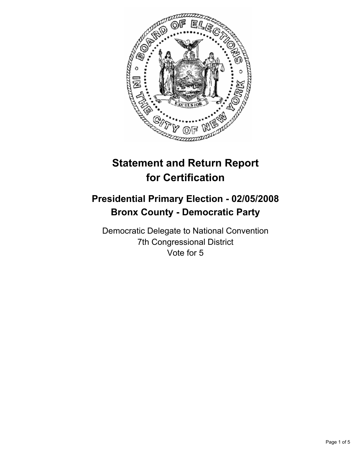

# **Statement and Return Report for Certification**

# **Presidential Primary Election - 02/05/2008 Bronx County - Democratic Party**

Democratic Delegate to National Convention 7th Congressional District Vote for 5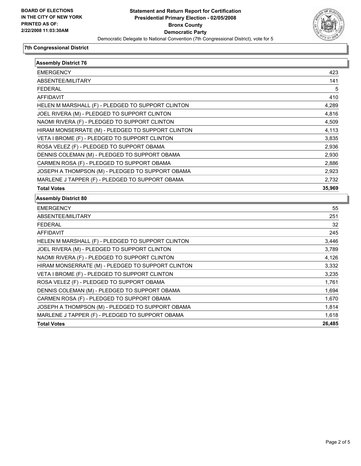

## **7th Congressional District**

| <b>Assembly District 76</b>                       |        |
|---------------------------------------------------|--------|
| <b>EMERGENCY</b>                                  | 423    |
| ABSENTEE/MILITARY                                 | 141    |
| <b>FEDERAL</b>                                    | 5      |
| <b>AFFIDAVIT</b>                                  | 410    |
| HELEN M MARSHALL (F) - PLEDGED TO SUPPORT CLINTON | 4,289  |
| JOEL RIVERA (M) - PLEDGED TO SUPPORT CLINTON      | 4,816  |
| NAOMI RIVERA (F) - PLEDGED TO SUPPORT CLINTON     | 4,509  |
| HIRAM MONSERRATE (M) - PLEDGED TO SUPPORT CLINTON | 4,113  |
| VETA I BROME (F) - PLEDGED TO SUPPORT CLINTON     | 3,835  |
| ROSA VELEZ (F) - PLEDGED TO SUPPORT OBAMA         | 2,936  |
| DENNIS COLEMAN (M) - PLEDGED TO SUPPORT OBAMA     | 2,930  |
| CARMEN ROSA (F) - PLEDGED TO SUPPORT OBAMA        | 2,886  |
| JOSEPH A THOMPSON (M) - PLEDGED TO SUPPORT OBAMA  | 2,923  |
| MARLENE J TAPPER (F) - PLEDGED TO SUPPORT OBAMA   | 2,732  |
| <b>Total Votes</b>                                | 35,969 |
| <b>Assembly District 80</b>                       |        |
| <b>EMERGENCY</b>                                  | 55     |
| ABSENTEE/MILITARY                                 | 251    |
| <b>FEDERAL</b>                                    | 32     |
| <b>AFFIDAVIT</b>                                  | 245    |
| HELEN M MARSHALL (F) - PLEDGED TO SUPPORT CLINTON | 3,446  |
| JOEL RIVERA (M) - PLEDGED TO SUPPORT CLINTON      | 3,789  |
| NAOMI RIVERA (F) - PLEDGED TO SUPPORT CLINTON     | 4,126  |
| HIRAM MONSERRATE (M) - PLEDGED TO SUPPORT CLINTON | 3,332  |
| VETA I BROME (F) - PLEDGED TO SUPPORT CLINTON     | 3,235  |
| ROSA VELEZ (F) - PLEDGED TO SUPPORT OBAMA         | 1,761  |
| DENNIS COLEMAN (M) - PLEDGED TO SUPPORT OBAMA     | 1,694  |
| CARMEN ROSA (F) - PLEDGED TO SUPPORT OBAMA        | 1,670  |
| JOSEPH A THOMPSON (M) - PLEDGED TO SUPPORT OBAMA  | 1,814  |
| MARLENE J TAPPER (F) - PLEDGED TO SUPPORT OBAMA   | 1,618  |
| <b>Total Votes</b>                                | 26,485 |
|                                                   |        |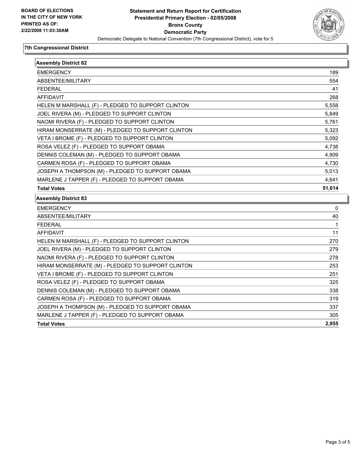

## **7th Congressional District**

| <b>Assembly District 82</b>                       |        |
|---------------------------------------------------|--------|
| <b>EMERGENCY</b>                                  | 189    |
| ABSENTEE/MILITARY                                 | 554    |
| <b>FEDERAL</b>                                    | 41     |
| <b>AFFIDAVIT</b>                                  | 268    |
| HELEN M MARSHALL (F) - PLEDGED TO SUPPORT CLINTON | 5,558  |
| JOEL RIVERA (M) - PLEDGED TO SUPPORT CLINTON      | 5,849  |
| NAOMI RIVERA (F) - PLEDGED TO SUPPORT CLINTON     | 5,761  |
| HIRAM MONSERRATE (M) - PLEDGED TO SUPPORT CLINTON | 5,323  |
| VETA I BROME (F) - PLEDGED TO SUPPORT CLINTON     | 5,092  |
| ROSA VELEZ (F) - PLEDGED TO SUPPORT OBAMA         | 4,738  |
| DENNIS COLEMAN (M) - PLEDGED TO SUPPORT OBAMA     | 4,909  |
| CARMEN ROSA (F) - PLEDGED TO SUPPORT OBAMA        | 4,730  |
| JOSEPH A THOMPSON (M) - PLEDGED TO SUPPORT OBAMA  | 5,013  |
|                                                   |        |
| MARLENE J TAPPER (F) - PLEDGED TO SUPPORT OBAMA   | 4,641  |
| <b>Total Votes</b>                                | 51,614 |
| <b>Assembly District 83</b>                       |        |
| <b>EMERGENCY</b>                                  | 0      |
| ABSENTEE/MILITARY                                 | 40     |
| <b>FEDERAL</b>                                    |        |
| <b>AFFIDAVIT</b>                                  | 11     |
| HELEN M MARSHALL (F) - PLEDGED TO SUPPORT CLINTON | 270    |
| JOEL RIVERA (M) - PLEDGED TO SUPPORT CLINTON      | 279    |
| NAOMI RIVERA (F) - PLEDGED TO SUPPORT CLINTON     | 278    |
| HIRAM MONSERRATE (M) - PLEDGED TO SUPPORT CLINTON | 253    |
| VETA I BROME (F) - PLEDGED TO SUPPORT CLINTON     | 251    |
| ROSA VELEZ (F) - PLEDGED TO SUPPORT OBAMA         | 325    |
| DENNIS COLEMAN (M) - PLEDGED TO SUPPORT OBAMA     | 338    |
| CARMEN ROSA (F) - PLEDGED TO SUPPORT OBAMA        | 319    |
| JOSEPH A THOMPSON (M) - PLEDGED TO SUPPORT OBAMA  | 337    |
| MARLENE J TAPPER (F) - PLEDGED TO SUPPORT OBAMA   | 305    |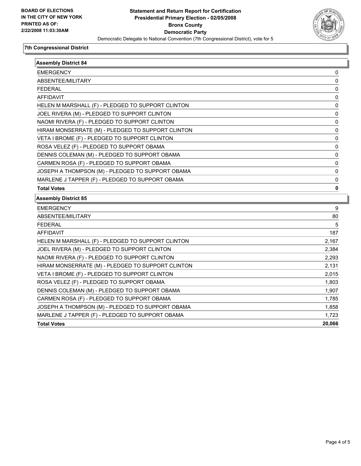

## **7th Congressional District**

| <b>Assembly District 84</b>                       |        |
|---------------------------------------------------|--------|
| <b>EMERGENCY</b>                                  | 0      |
| ABSENTEE/MILITARY                                 | 0      |
| <b>FEDERAL</b>                                    | 0      |
| <b>AFFIDAVIT</b>                                  | 0      |
| HELEN M MARSHALL (F) - PLEDGED TO SUPPORT CLINTON | 0      |
| JOEL RIVERA (M) - PLEDGED TO SUPPORT CLINTON      | 0      |
| NAOMI RIVERA (F) - PLEDGED TO SUPPORT CLINTON     | 0      |
| HIRAM MONSERRATE (M) - PLEDGED TO SUPPORT CLINTON | 0      |
| VETA I BROME (F) - PLEDGED TO SUPPORT CLINTON     | 0      |
| ROSA VELEZ (F) - PLEDGED TO SUPPORT OBAMA         | 0      |
| DENNIS COLEMAN (M) - PLEDGED TO SUPPORT OBAMA     | 0      |
| CARMEN ROSA (F) - PLEDGED TO SUPPORT OBAMA        | 0      |
| JOSEPH A THOMPSON (M) - PLEDGED TO SUPPORT OBAMA  | 0      |
| MARLENE J TAPPER (F) - PLEDGED TO SUPPORT OBAMA   | 0      |
| <b>Total Votes</b>                                | 0      |
| <b>Assembly District 85</b>                       |        |
| <b>EMERGENCY</b>                                  | 9      |
| ABSENTEE/MILITARY                                 | 80     |
| <b>FEDERAL</b>                                    | 5      |
| <b>AFFIDAVIT</b>                                  | 187    |
| HELEN M MARSHALL (F) - PLEDGED TO SUPPORT CLINTON | 2,167  |
| JOEL RIVERA (M) - PLEDGED TO SUPPORT CLINTON      | 2,384  |
| NAOMI RIVERA (F) - PLEDGED TO SUPPORT CLINTON     | 2,293  |
| HIRAM MONSERRATE (M) - PLEDGED TO SUPPORT CLINTON | 2,131  |
| VETA I BROME (F) - PLEDGED TO SUPPORT CLINTON     | 2,015  |
| ROSA VELEZ (F) - PLEDGED TO SUPPORT OBAMA         | 1,803  |
| DENNIS COLEMAN (M) - PLEDGED TO SUPPORT OBAMA     | 1,907  |
| CARMEN ROSA (F) - PLEDGED TO SUPPORT OBAMA        | 1,785  |
| JOSEPH A THOMPSON (M) - PLEDGED TO SUPPORT OBAMA  | 1,858  |
| MARLENE J TAPPER (F) - PLEDGED TO SUPPORT OBAMA   | 1,723  |
| <b>Total Votes</b>                                | 20,066 |